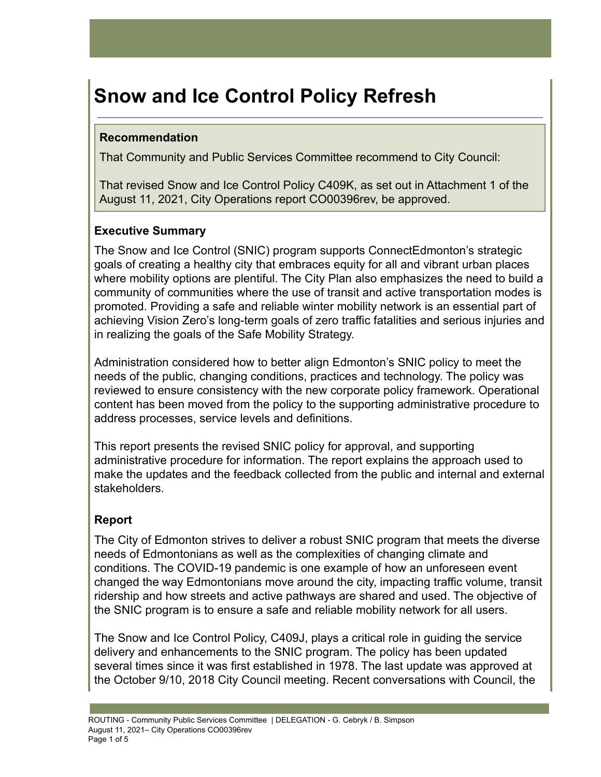# **Snow and Ice Control Policy Refresh**

# **Recommendation**

That Community and Public Services Committee recommend to City Council:

That revised Snow and Ice Control Policy C409K, as set out in Attachment 1 of the August 11, 2021, City Operations report CO00396rev, be approved.

# **Executive Summary**

The Snow and Ice Control (SNIC) program supports ConnectEdmonton's strategic goals of creating a healthy city that embraces equity for all and vibrant urban places where mobility options are plentiful. The City Plan also emphasizes the need to build a community of communities where the use of transit and active transportation modes is promoted. Providing a safe and reliable winter mobility network is an essential part of achieving Vision Zero's long-term goals of zero traffic fatalities and serious injuries and in realizing the goals of the Safe Mobility Strategy.

Administration considered how to better align Edmonton's SNIC policy to meet the needs of the public, changing conditions, practices and technology. The policy was reviewed to ensure consistency with the new corporate policy framework. Operational content has been moved from the policy to the supporting administrative procedure to address processes, service levels and definitions.

This report presents the revised SNIC policy for approval, and supporting administrative procedure for information. The report explains the approach used to make the updates and the feedback collected from the public and internal and external stakeholders.

# **Report**

The City of Edmonton strives to deliver a robust SNIC program that meets the diverse needs of Edmontonians as well as the complexities of changing climate and conditions. The COVID-19 pandemic is one example of how an unforeseen event changed the way Edmontonians move around the city, impacting traffic volume, transit ridership and how streets and active pathways are shared and used. The objective of the SNIC program is to ensure a safe and reliable mobility network for all users.

The Snow and Ice Control Policy, C409J, plays a critical role in guiding the service delivery and enhancements to the SNIC program. The policy has been updated several times since it was first established in 1978. The last update was approved at the October 9/10, 2018 City Council meeting. Recent conversations with Council, the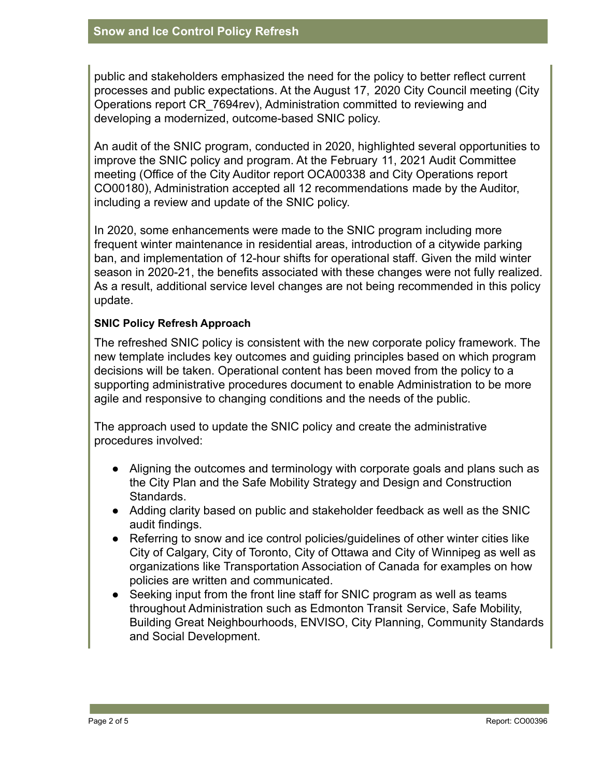public and stakeholders emphasized the need for the policy to better reflect current processes and public expectations. At the August 17, 2020 City Council meeting (City Operations report CR\_7694rev), Administration committed to reviewing and developing a modernized, outcome-based SNIC policy.

An audit of the SNIC program, conducted in 2020, highlighted several opportunities to improve the SNIC policy and program. At the February 11, 2021 Audit Committee meeting (Office of the City Auditor report OCA00338 and City Operations report CO00180), Administration accepted all 12 recommendations made by the Auditor, including a review and update of the SNIC policy.

In 2020, some enhancements were made to the SNIC program including more frequent winter maintenance in residential areas, introduction of a citywide parking ban, and implementation of 12-hour shifts for operational staff. Given the mild winter season in 2020-21, the benefits associated with these changes were not fully realized. As a result, additional service level changes are not being recommended in this policy update.

### **SNIC Policy Refresh Approach**

The refreshed SNIC policy is consistent with the new corporate policy framework. The new template includes key outcomes and guiding principles based on which program decisions will be taken. Operational content has been moved from the policy to a supporting administrative procedures document to enable Administration to be more agile and responsive to changing conditions and the needs of the public.

The approach used to update the SNIC policy and create the administrative procedures involved:

- Aligning the outcomes and terminology with corporate goals and plans such as the City Plan and the Safe Mobility Strategy and Design and Construction Standards.
- Adding clarity based on public and stakeholder feedback as well as the SNIC audit findings.
- Referring to snow and ice control policies/guidelines of other winter cities like City of Calgary, City of Toronto, City of Ottawa and City of Winnipeg as well as organizations like Transportation Association of Canada for examples on how policies are written and communicated.
- Seeking input from the front line staff for SNIC program as well as teams throughout Administration such as Edmonton Transit Service, Safe Mobility, Building Great Neighbourhoods, ENVISO, City Planning, Community Standards and Social Development.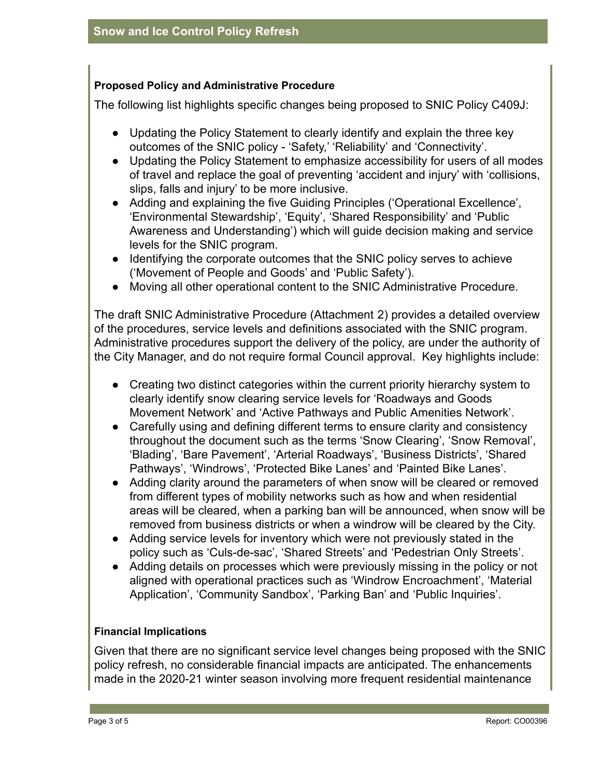#### **Proposed Policy and Administrative Procedure**

The following list highlights specific changes being proposed to SNIC Policy C409J:

- Updating the Policy Statement to clearly identify and explain the three key outcomes of the SNIC policy - 'Safety,' 'Reliability' and 'Connectivity'.
- Updating the Policy Statement to emphasize accessibility for users of all modes of travel and replace the goal of preventing 'accident and injury' with 'collisions, slips, falls and injury' to be more inclusive.
- Adding and explaining the five Guiding Principles ('Operational Excellence', 'Environmental Stewardship', 'Equity', 'Shared Responsibility' and 'Public Awareness and Understanding') which will guide decision making and service levels for the SNIC program.
- Identifying the corporate outcomes that the SNIC policy serves to achieve ('Movement of People and Goods' and 'Public Safety').
- Moving all other operational content to the SNIC Administrative Procedure.

The draft SNIC Administrative Procedure (Attachment 2) provides a detailed overview of the procedures, service levels and definitions associated with the SNIC program. Administrative procedures support the delivery of the policy, are under the authority of the City Manager, and do not require formal Council approval. Key highlights include:

- Creating two distinct categories within the current priority hierarchy system to clearly identify snow clearing service levels for 'Roadways and Goods Movement Network' and 'Active Pathways and Public Amenities Network'.
- Carefully using and defining different terms to ensure clarity and consistency throughout the document such as the terms 'Snow Clearing', 'Snow Removal', 'Blading', 'Bare Pavement', 'Arterial Roadways', 'Business Districts', 'Shared Pathways', 'Windrows', 'Protected Bike Lanes' and 'Painted Bike Lanes'.
- Adding clarity around the parameters of when snow will be cleared or removed from different types of mobility networks such as how and when residential areas will be cleared, when a parking ban will be announced, when snow will be removed from business districts or when a windrow will be cleared by the City.
- Adding service levels for inventory which were not previously stated in the policy such as 'Culs-de-sac', 'Shared Streets' and 'Pedestrian Only Streets'.
- Adding details on processes which were previously missing in the policy or not aligned with operational practices such as 'Windrow Encroachment', 'Material Application', 'Community Sandbox', 'Parking Ban' and 'Public Inquiries'.

#### **Financial Implications**

Given that there are no significant service level changes being proposed with the SNIC policy refresh, no considerable financial impacts are anticipated. The enhancements made in the 2020-21 winter season involving more frequent residential maintenance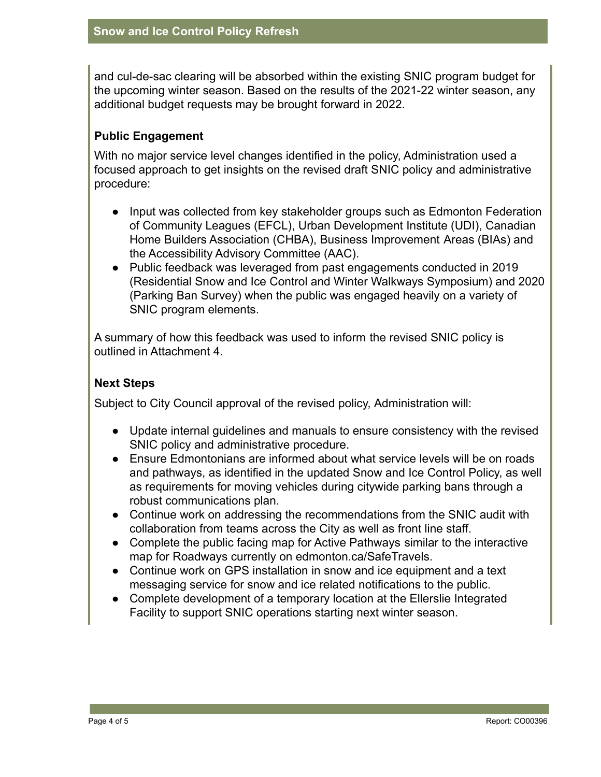and cul-de-sac clearing will be absorbed within the existing SNIC program budget for the upcoming winter season. Based on the results of the 2021-22 winter season, any additional budget requests may be brought forward in 2022.

# **Public Engagement**

With no major service level changes identified in the policy, Administration used a focused approach to get insights on the revised draft SNIC policy and administrative procedure:

- Input was collected from key stakeholder groups such as Edmonton Federation of Community Leagues (EFCL), Urban Development Institute (UDI), Canadian Home Builders Association (CHBA), Business Improvement Areas (BIAs) and the Accessibility Advisory Committee (AAC).
- Public feedback was leveraged from past engagements conducted in 2019 (Residential Snow and Ice Control and Winter Walkways Symposium) and 2020 (Parking Ban Survey) when the public was engaged heavily on a variety of SNIC program elements.

A summary of how this feedback was used to inform the revised SNIC policy is outlined in Attachment 4.

## **Next Steps**

Subject to City Council approval of the revised policy, Administration will:

- Update internal guidelines and manuals to ensure consistency with the revised SNIC policy and administrative procedure.
- Ensure Edmontonians are informed about what service levels will be on roads and pathways, as identified in the updated Snow and Ice Control Policy, as well as requirements for moving vehicles during citywide parking bans through a robust communications plan.
- Continue work on addressing the recommendations from the SNIC audit with collaboration from teams across the City as well as front line staff.
- Complete the public facing map for Active Pathways similar to the interactive map for Roadways currently on edmonton.ca/SafeTravels.
- Continue work on GPS installation in snow and ice equipment and a text messaging service for snow and ice related notifications to the public.
- Complete development of a temporary location at the Ellerslie Integrated Facility to support SNIC operations starting next winter season.